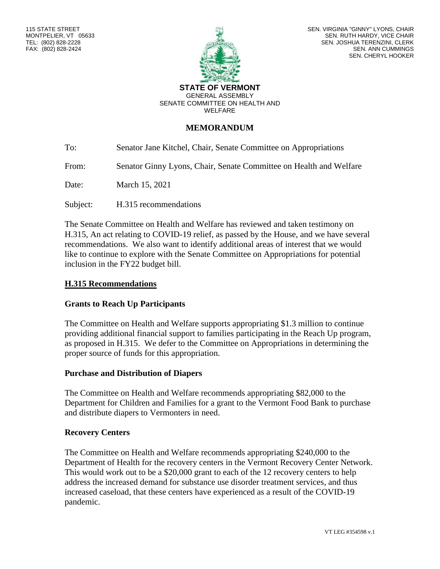

SEN. VIRGINIA "GINNY" LYONS, CHAIR SEN. RUTH HARDY, VICE CHAIR SEN. JOSHUA TERENZINI, CLERK SEN. ANN CUMMINGS SEN. CHERYL HOOKER

#### **STATE OF VERMONT** GENERAL ASSEMBLY SENATE COMMITTEE ON HEALTH AND WELFARE

## **MEMORANDUM**

To: Senator Jane Kitchel, Chair, Senate Committee on Appropriations

From: Senator Ginny Lyons, Chair, Senate Committee on Health and Welfare

Date: March 15, 2021

Subject: H.315 recommendations

The Senate Committee on Health and Welfare has reviewed and taken testimony on H.315, An act relating to COVID-19 relief, as passed by the House, and we have several recommendations. We also want to identify additional areas of interest that we would like to continue to explore with the Senate Committee on Appropriations for potential inclusion in the FY22 budget bill.

### **H.315 Recommendations**

## **Grants to Reach Up Participants**

The Committee on Health and Welfare supports appropriating \$1.3 million to continue providing additional financial support to families participating in the Reach Up program, as proposed in H.315. We defer to the Committee on Appropriations in determining the proper source of funds for this appropriation.

#### **Purchase and Distribution of Diapers**

The Committee on Health and Welfare recommends appropriating \$82,000 to the Department for Children and Families for a grant to the Vermont Food Bank to purchase and distribute diapers to Vermonters in need.

#### **Recovery Centers**

The Committee on Health and Welfare recommends appropriating \$240,000 to the Department of Health for the recovery centers in the Vermont Recovery Center Network. This would work out to be a \$20,000 grant to each of the 12 recovery centers to help address the increased demand for substance use disorder treatment services, and thus increased caseload, that these centers have experienced as a result of the COVID-19 pandemic.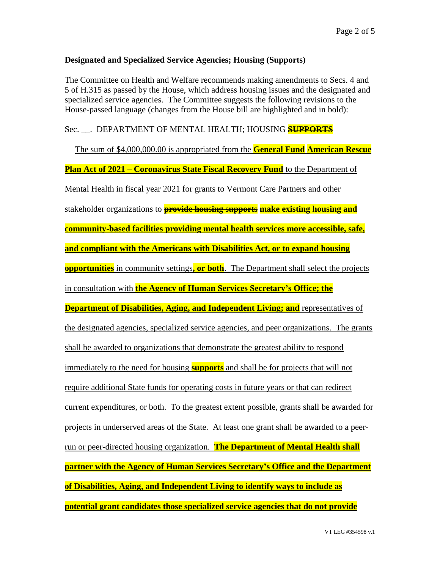## **Designated and Specialized Service Agencies; Housing (Supports)**

The Committee on Health and Welfare recommends making amendments to Secs. 4 and 5 of H.315 as passed by the House, which address housing issues and the designated and specialized service agencies. The Committee suggests the following revisions to the House-passed language (changes from the House bill are highlighted and in bold):

## Sec. \_\_. DEPARTMENT OF MENTAL HEALTH; HOUSING **SUPPORTS**

The sum of \$4,000,000.00 is appropriated from the **General Fund American Rescue Plan Act of 2021 – Coronavirus State Fiscal Recovery Fund** to the Department of Mental Health in fiscal year 2021 for grants to Vermont Care Partners and other stakeholder organizations to **provide housing supports make existing housing and community-based facilities providing mental health services more accessible, safe, and compliant with the Americans with Disabilities Act, or to expand housing opportunities** in community settings**, or both**. The Department shall select the projects in consultation with **the Agency of Human Services Secretary's Office; the Department of Disabilities, Aging, and Independent Living; and** representatives of the designated agencies, specialized service agencies, and peer organizations. The grants shall be awarded to organizations that demonstrate the greatest ability to respond immediately to the need for housing **supports** and shall be for projects that will not require additional State funds for operating costs in future years or that can redirect current expenditures, or both. To the greatest extent possible, grants shall be awarded for projects in underserved areas of the State. At least one grant shall be awarded to a peerrun or peer-directed housing organization. **The Department of Mental Health shall partner with the Agency of Human Services Secretary's Office and the Department of Disabilities, Aging, and Independent Living to identify ways to include as potential grant candidates those specialized service agencies that do not provide**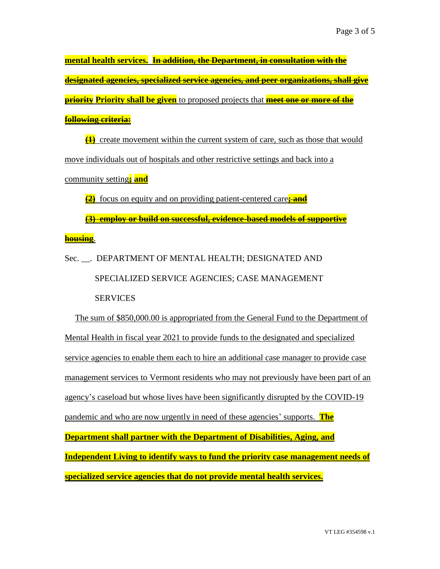**mental health services. In addition, the Department, in consultation with the designated agencies, specialized service agencies, and peer organizations, shall give priority Priority shall be given** to proposed projects that **meet one or more of the following criteria:**

**(1)** create movement within the current system of care, such as those that would move individuals out of hospitals and other restrictive settings and back into a community setting**; and**

**(2)** focus on equity and on providing patient-centered care**; and (3) employ or build on successful, evidence-based models of supportive** 

**housing**.

Sec. \_\_. DEPARTMENT OF MENTAL HEALTH; DESIGNATED AND SPECIALIZED SERVICE AGENCIES; CASE MANAGEMENT **SERVICES** 

The sum of \$850,000.00 is appropriated from the General Fund to the Department of Mental Health in fiscal year 2021 to provide funds to the designated and specialized service agencies to enable them each to hire an additional case manager to provide case management services to Vermont residents who may not previously have been part of an agency's caseload but whose lives have been significantly disrupted by the COVID-19 pandemic and who are now urgently in need of these agencies' supports. **The Department shall partner with the Department of Disabilities, Aging, and Independent Living to identify ways to fund the priority case management needs of specialized service agencies that do not provide mental health services.**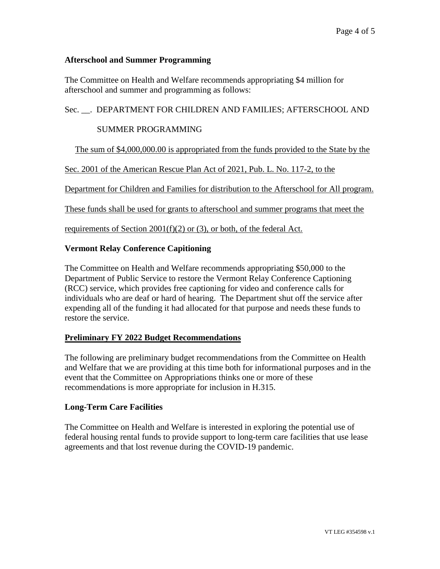## **Afterschool and Summer Programming**

The Committee on Health and Welfare recommends appropriating \$4 million for afterschool and summer and programming as follows:

Sec. \_\_. DEPARTMENT FOR CHILDREN AND FAMILIES; AFTERSCHOOL AND

## SUMMER PROGRAMMING

The sum of \$4,000,000.00 is appropriated from the funds provided to the State by the

Sec. 2001 of the American Rescue Plan Act of 2021, Pub. L. No. 117-2, to the

Department for Children and Families for distribution to the Afterschool for All program.

These funds shall be used for grants to afterschool and summer programs that meet the

requirements of Section 2001(f)(2) or (3), or both, of the federal Act.

## **Vermont Relay Conference Capitioning**

The Committee on Health and Welfare recommends appropriating \$50,000 to the Department of Public Service to restore the Vermont Relay Conference Captioning (RCC) service, which provides free captioning for video and conference calls for individuals who are deaf or hard of hearing. The Department shut off the service after expending all of the funding it had allocated for that purpose and needs these funds to restore the service.

# **Preliminary FY 2022 Budget Recommendations**

The following are preliminary budget recommendations from the Committee on Health and Welfare that we are providing at this time both for informational purposes and in the event that the Committee on Appropriations thinks one or more of these recommendations is more appropriate for inclusion in H.315.

## **Long-Term Care Facilities**

The Committee on Health and Welfare is interested in exploring the potential use of federal housing rental funds to provide support to long-term care facilities that use lease agreements and that lost revenue during the COVID-19 pandemic.